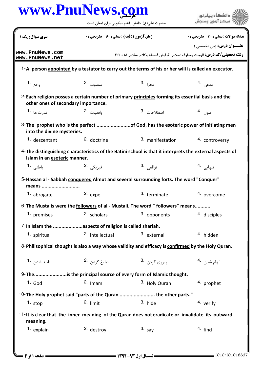## www.PnuNews.com

|                                      | حصرت علي (ع): دانس راهبر نيکويي براي آيمان است        |                                                                                                         |                                              |
|--------------------------------------|-------------------------------------------------------|---------------------------------------------------------------------------------------------------------|----------------------------------------------|
| سری سوال: یک ۱                       | <b>زمان آزمون (دقیقه) : تستی ; ۶۰ ٪ تشریحی ; .</b>    |                                                                                                         | <b>تعداد سوالات : تستی : 30 ٪ تشریحی : 0</b> |
| www.PnuNews.com<br>www.PnuNews.net   |                                                       | <b>رشته تحصیلی/کد درس: ال</b> هیات ومعارف اسلامی گرایش فلسفه وکلام اسلامی،۱۲۲۰۰۱۸                       | <b>عنــوان درس:</b> زبان تخصصی ۱             |
|                                      |                                                       | 1-A person appointed by a testator to carry out the terms of his or her will is called an executor.     |                                              |
| واقع 1.                              | منصوب 2.                                              | مجزا <sup>.3</sup>                                                                                      | مدعی .4                                      |
| other ones of secondary importance.  |                                                       | 2-Each religion posses a certain number of primary principles forming its essential basis and the       |                                              |
| قد <sub>ر</sub> ت ها  • <sup>1</sup> | واقعيات 2.                                            | اصطلاحات 3.                                                                                             | اصول .4                                      |
| into the divine mysteries.           |                                                       | 3-The prophet who is the perfect of God, has the esoteric power of initiating men                       |                                              |
| 1. descentant                        | 2. doctrine                                           | 3. manifestation                                                                                        | 4. controversy                               |
| Islam in an esoteric manner.         |                                                       | 4-The distinguishing characteristics of the Batini school is that it interprets the external aspects of |                                              |
| باطني <b>1.</b>                      | فيزيكى .2                                             | توافقى .3                                                                                               | تنهایی <sup>4</sup> ۰                        |
| means                                |                                                       | 5-Hassan al - Sabbah conquered Almut and several surrounding forts. The word "Conquer"                  |                                              |
| 1. abrogate                          | 2. expel                                              | 3. terminate                                                                                            | 4. overcome                                  |
|                                      |                                                       | 6- The Mustalis were the followers of al - Mustali. The word " followers" means                         |                                              |
| 1. premises                          | 2. scholars                                           | 3. opponents                                                                                            | 4. disciples                                 |
|                                      | 7-In Islam the aspects of religion is called shariah. |                                                                                                         |                                              |
| 1. spiritual                         | 2. intellectual                                       | 3. external                                                                                             | 4. hidden                                    |
|                                      |                                                       | 8-Philisophical thought is also a way whose validity and efficacy is confirmed by the Holy Quran.       |                                              |
| تاييد شد <sub>ن</sub> <b>1.</b>      | تبليغ كردن 2.                                         | پیروی کردن۔3                                                                                            | الهام شدن 4.                                 |
|                                      |                                                       | 9-Theis the principal source of every form of Islamic thought.                                          |                                              |
| $1.$ God                             | $2.$ Imam                                             | 3. Holy Quran                                                                                           | 4. prophet                                   |
|                                      |                                                       | 10-The Holy prophet said "parts of the Quran  the other parts."                                         |                                              |
| 1. stop                              | 2. limit                                              | $3.$ hide                                                                                               | 4. verify                                    |
| meaning.                             |                                                       | 11-It is clear that the inner meaning of the Quran does not eradicate or invalidate its outward         |                                              |
| 1. explain                           | 2. destroy                                            | $3.$ say                                                                                                | $4.$ find                                    |
|                                      |                                                       |                                                                                                         |                                              |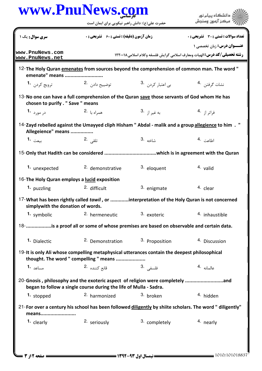|                                              | www.PnuNews.com<br>حضرت علی(ع): دانش راهبر نیکویی برای ایمان است                                                                                   |                              | دانشگاه پیام نور                                                                                                     |
|----------------------------------------------|----------------------------------------------------------------------------------------------------------------------------------------------------|------------------------------|----------------------------------------------------------------------------------------------------------------------|
| <b>سری سوال :</b> یک ۱                       | <b>زمان آزمون (دقیقه) : تستی : 60 ٪ تشریحی : 0</b>                                                                                                 |                              | <b>تعداد سوالات : تستی : 30 ٪ تشریحی : 0</b>                                                                         |
| www.PnuNews.com<br>www.PnuNews.net           |                                                                                                                                                    |                              | <b>عنــوان درس:</b> زبان تخصصی ۱<br><b>رشته تحصیلی/کد درس: ا</b> لهیات ومعارف اسلامی گرایش فلسفه وکلام اسلامی۱۲۲۰۰۱۸ |
| emenate" means                               |                                                                                                                                                    |                              | 12- The Holy Quran emenates from sources beyond the comprehension of common man. The word "                          |
| ترويج کردن <b>1</b> ۰                        | توضييح داد <sub>ن</sub> 2.                                                                                                                         | بی اعتبار کردن <sup>.3</sup> | نشات گرفتن 4.                                                                                                        |
| chosen to purify . " Save " means            | 13-No one can have a full comprehension of the Quran save those servants of God whom He has                                                        |                              |                                                                                                                      |
| در مورد <b>1</b> ۰                           | همراه با 2.                                                                                                                                        | به غير از <sup>.3</sup>      | فراتر از <sup>4</sup> ۰                                                                                              |
| Allegeience" means                           |                                                                                                                                                    |                              | 14-Zayd rebelled against the Umayyed cliph Hisham " Abdal - malik and a group allegience to him .                    |
| بيعت <b>1.</b>                               | تلقى 2.                                                                                                                                            | شاخه .3                      | اطاعت .4                                                                                                             |
|                                              |                                                                                                                                                    |                              |                                                                                                                      |
| 1. unexpected                                | <sup>2.</sup> demonstrative                                                                                                                        | 3. eloquent                  | 4. valid                                                                                                             |
| 16-The Holy Quran employs a lucid exposition |                                                                                                                                                    |                              |                                                                                                                      |
| 1. puzzling                                  | 2. difficult                                                                                                                                       | 3. enigmate                  | 4. clear                                                                                                             |
| simplywith the donation of words.            |                                                                                                                                                    |                              | 17-What has been rightly called <i>tawil</i> , or interpretation of the Holy Quran is not concerned                  |
| 1. symbolic                                  | 2. hermeneutic                                                                                                                                     | 3. exoteric                  | 4. inhaustible                                                                                                       |
|                                              | 18- is a proof all or some of whose premises are based on observable and certain data.                                                             |                              |                                                                                                                      |
| 1. Dialectic                                 | <sup>2</sup> Demonstration                                                                                                                         | 3. Proposition               | 4. Discussion                                                                                                        |
|                                              | 19-It is only Ali whose compelling metaphysical utterances contain the deepest philosophical<br>thought. The word " compelling " means             |                              |                                                                                                                      |
| مساعد <b>1.</b>                              | قانع كننده 2.                                                                                                                                      | فلسفى .3                     | عالمانه 4.                                                                                                           |
|                                              | 20-Gnosis, philosophy and the exoteric aspect of religion were completely and<br>began to follow a single course during the life of Mulla - Sadra. |                              |                                                                                                                      |
| 1. stopped                                   | 2. harmonized                                                                                                                                      | 3. broken                    | 4. hidden                                                                                                            |
| means                                        |                                                                                                                                                    |                              | 21-For over a century his school has been followed diligently by shiite scholars. The word " diligently"             |
| 1. clearly                                   | 2. seriously                                                                                                                                       | 3. completely                | 4. nearly                                                                                                            |
|                                              |                                                                                                                                                    |                              |                                                                                                                      |
|                                              |                                                                                                                                                    |                              |                                                                                                                      |